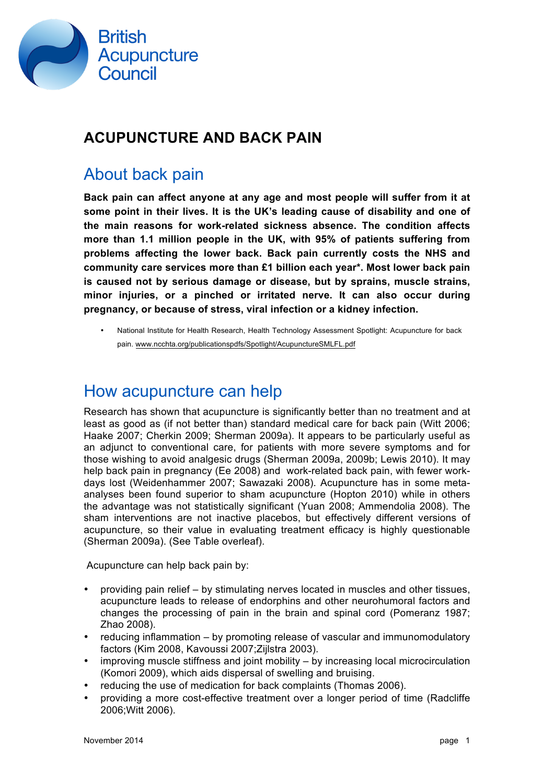

## **ACUPUNCTURE AND BACK PAIN**

# About back pain

**Back pain can affect anyone at any age and most people will suffer from it at some point in their lives. It is the UK's leading cause of disability and one of the main reasons for work-related sickness absence. The condition affects more than 1.1 million people in the UK, with 95% of patients suffering from problems affecting the lower back. Back pain currently costs the NHS and community care services more than £1 billion each year\*. Most lower back pain is caused not by serious damage or disease, but by sprains, muscle strains, minor injuries, or a pinched or irritated nerve. It can also occur during pregnancy, or because of stress, viral infection or a kidney infection.** 

• National Institute for Health Research, Health Technology Assessment Spotlight: Acupuncture for back pain. [www.ncchta.org/publicationspdfs/Spotlight/AcupunctureSMLFL.pdf](http://www.ncchta.org/publicationspdfs/Spotlight/AcupunctureSMLFL.pdf)

### How acupuncture can help

Research has shown that acupuncture is significantly better than no treatment and at least as good as (if not better than) standard medical care for back pain (Witt 2006; Haake 2007; Cherkin 2009; Sherman 2009a). It appears to be particularly useful as an adjunct to conventional care, for patients with more severe symptoms and for those wishing to avoid analgesic drugs (Sherman 2009a, 2009b; Lewis 2010). It may help back pain in pregnancy (Ee 2008) and work-related back pain, with fewer workdays lost (Weidenhammer 2007; Sawazaki 2008). Acupuncture has in some metaanalyses been found superior to sham acupuncture (Hopton 2010) while in others the advantage was not statistically significant (Yuan 2008; Ammendolia 2008). The sham interventions are not inactive placebos, but effectively different versions of acupuncture, so their value in evaluating treatment efficacy is highly questionable (Sherman 2009a). (See Table overleaf).

Acupuncture can help back pain by:

- providing pain relief by stimulating nerves located in muscles and other tissues, acupuncture leads to release of endorphins and other neurohumoral factors and changes the processing of pain in the brain and spinal cord (Pomeranz 1987; Zhao 2008).
- reducing inflammation by promoting release of vascular and immunomodulatory factors (Kim 2008, Kavoussi 2007;Zijlstra 2003).
- improving muscle stiffness and joint mobility by increasing local microcirculation (Komori 2009), which aids dispersal of swelling and bruising.
- reducing the use of medication for back complaints (Thomas 2006).
- providing a more cost-effective treatment over a longer period of time (Radcliffe 2006;Witt 2006).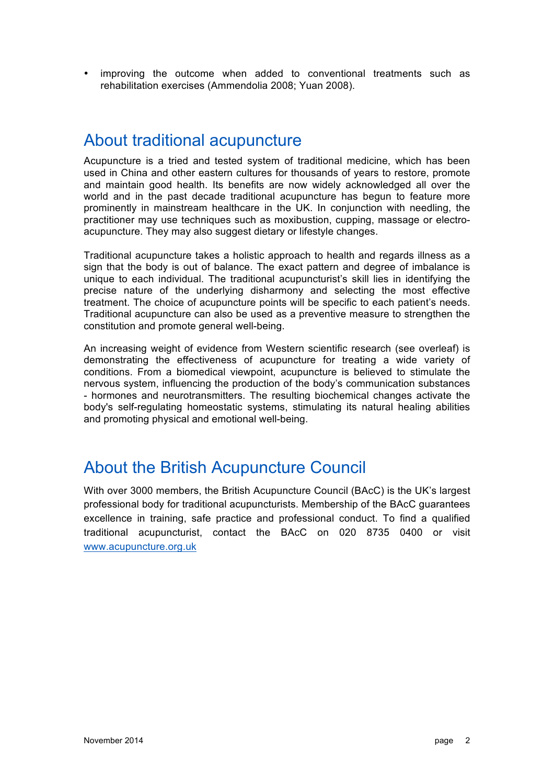• improving the outcome when added to conventional treatments such as rehabilitation exercises (Ammendolia 2008; Yuan 2008).

# About traditional acupuncture

Acupuncture is a tried and tested system of traditional medicine, which has been used in China and other eastern cultures for thousands of years to restore, promote and maintain good health. Its benefits are now widely acknowledged all over the world and in the past decade traditional acupuncture has begun to feature more prominently in mainstream healthcare in the UK. In conjunction with needling, the practitioner may use techniques such as moxibustion, cupping, massage or electroacupuncture. They may also suggest dietary or lifestyle changes.

Traditional acupuncture takes a holistic approach to health and regards illness as a sign that the body is out of balance. The exact pattern and degree of imbalance is unique to each individual. The traditional acupuncturist's skill lies in identifying the precise nature of the underlying disharmony and selecting the most effective treatment. The choice of acupuncture points will be specific to each patient's needs. Traditional acupuncture can also be used as a preventive measure to strengthen the constitution and promote general well-being.

An increasing weight of evidence from Western scientific research (see overleaf) is demonstrating the effectiveness of acupuncture for treating a wide variety of conditions. From a biomedical viewpoint, acupuncture is believed to stimulate the nervous system, influencing the production of the body's communication substances - hormones and neurotransmitters. The resulting biochemical changes activate the body's self-regulating homeostatic systems, stimulating its natural healing abilities and promoting physical and emotional well-being.

# About the British Acupuncture Council

With over 3000 members, the British Acupuncture Council (BAcC) is the UK's largest professional body for traditional acupuncturists. Membership of the BAcC guarantees excellence in training, safe practice and professional conduct. To find a qualified traditional acupuncturist, contact the BAcC on 020 8735 0400 or visit [www.acupuncture.org.uk](http://www.acupuncture.org.uk)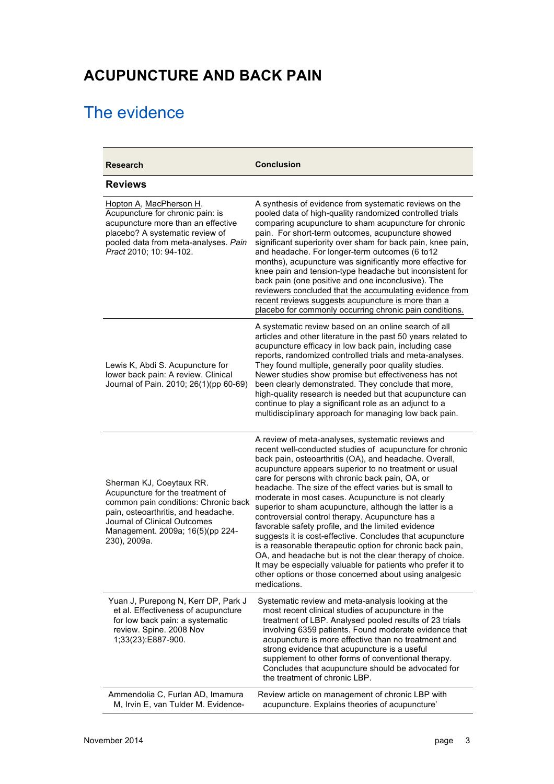# **ACUPUNCTURE AND BACK PAIN**

# The evidence

| <b>Research</b>                                                                                                                                                                                                                 | <b>Conclusion</b>                                                                                                                                                                                                                                                                                                                                                                                                                                                                                                                                                                                                                                                                                                                                                                                                                                                                                       |
|---------------------------------------------------------------------------------------------------------------------------------------------------------------------------------------------------------------------------------|---------------------------------------------------------------------------------------------------------------------------------------------------------------------------------------------------------------------------------------------------------------------------------------------------------------------------------------------------------------------------------------------------------------------------------------------------------------------------------------------------------------------------------------------------------------------------------------------------------------------------------------------------------------------------------------------------------------------------------------------------------------------------------------------------------------------------------------------------------------------------------------------------------|
| <b>Reviews</b>                                                                                                                                                                                                                  |                                                                                                                                                                                                                                                                                                                                                                                                                                                                                                                                                                                                                                                                                                                                                                                                                                                                                                         |
| Hopton A, MacPherson H.<br>Acupuncture for chronic pain: is<br>acupuncture more than an effective<br>placebo? A systematic review of<br>pooled data from meta-analyses. Pain<br>Pract 2010; 10: 94-102.                         | A synthesis of evidence from systematic reviews on the<br>pooled data of high-quality randomized controlled trials<br>comparing acupuncture to sham acupuncture for chronic<br>pain. For short-term outcomes, acupuncture showed<br>significant superiority over sham for back pain, knee pain,<br>and headache. For longer-term outcomes (6 to12<br>months), acupuncture was significantly more effective for<br>knee pain and tension-type headache but inconsistent for<br>back pain (one positive and one inconclusive). The<br>reviewers concluded that the accumulating evidence from<br>recent reviews suggests acupuncture is more than a<br>placebo for commonly occurring chronic pain conditions.                                                                                                                                                                                            |
| Lewis K, Abdi S. Acupuncture for<br>lower back pain: A review. Clinical<br>Journal of Pain. 2010; 26(1)(pp 60-69)                                                                                                               | A systematic review based on an online search of all<br>articles and other literature in the past 50 years related to<br>acupuncture efficacy in low back pain, including case<br>reports, randomized controlled trials and meta-analyses.<br>They found multiple, generally poor quality studies.<br>Newer studies show promise but effectiveness has not<br>been clearly demonstrated. They conclude that more,<br>high-quality research is needed but that acupuncture can<br>continue to play a significant role as an adjunct to a<br>multidisciplinary approach for managing low back pain.                                                                                                                                                                                                                                                                                                       |
| Sherman KJ, Coeytaux RR.<br>Acupuncture for the treatment of<br>common pain conditions: Chronic back<br>pain, osteoarthritis, and headache.<br>Journal of Clinical Outcomes<br>Management. 2009a; 16(5)(pp 224-<br>230), 2009a. | A review of meta-analyses, systematic reviews and<br>recent well-conducted studies of acupuncture for chronic<br>back pain, osteoarthritis (OA), and headache. Overall,<br>acupuncture appears superior to no treatment or usual<br>care for persons with chronic back pain, OA, or<br>headache. The size of the effect varies but is small to<br>moderate in most cases. Acupuncture is not clearly<br>superior to sham acupuncture, although the latter is a<br>controversial control therapy. Acupuncture has a<br>favorable safety profile, and the limited evidence<br>suggests it is cost-effective. Concludes that acupuncture<br>is a reasonable therapeutic option for chronic back pain,<br>OA, and headache but is not the clear therapy of choice.<br>It may be especially valuable for patients who prefer it to<br>other options or those concerned about using analgesic<br>medications. |
| Yuan J, Purepong N, Kerr DP, Park J<br>et al. Effectiveness of acupuncture<br>for low back pain: a systematic<br>review. Spine. 2008 Nov<br>1;33(23):E887-900.                                                                  | Systematic review and meta-analysis looking at the<br>most recent clinical studies of acupuncture in the<br>treatment of LBP. Analysed pooled results of 23 trials<br>involving 6359 patients. Found moderate evidence that<br>acupuncture is more effective than no treatment and<br>strong evidence that acupuncture is a useful<br>supplement to other forms of conventional therapy.<br>Concludes that acupuncture should be advocated for<br>the treatment of chronic LBP.                                                                                                                                                                                                                                                                                                                                                                                                                         |
| Ammendolia C, Furlan AD, Imamura<br>M, Irvin E, van Tulder M. Evidence-                                                                                                                                                         | Review article on management of chronic LBP with<br>acupuncture. Explains theories of acupuncture'                                                                                                                                                                                                                                                                                                                                                                                                                                                                                                                                                                                                                                                                                                                                                                                                      |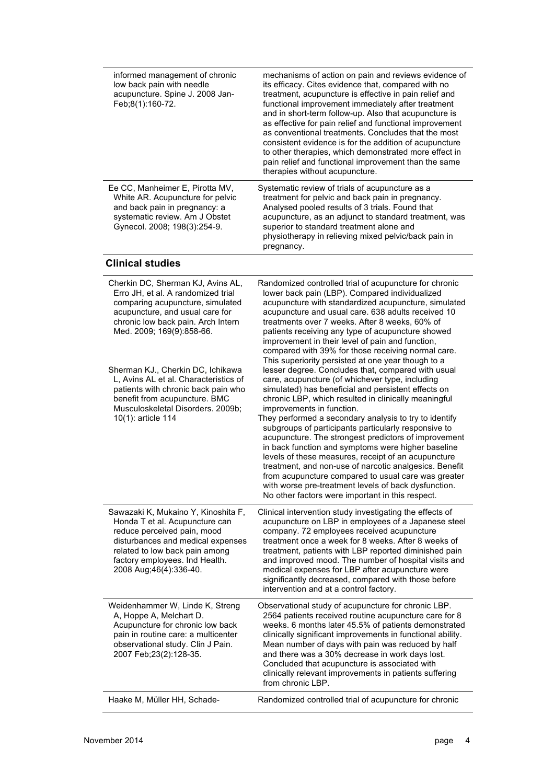| informed management of chronic<br>low back pain with needle<br>acupuncture. Spine J. 2008 Jan-<br>Feb;8(1):160-72.                                                                                                                                                                                                                                                                                                                 | mechanisms of action on pain and reviews evidence of<br>its efficacy. Cites evidence that, compared with no<br>treatment, acupuncture is effective in pain relief and<br>functional improvement immediately after treatment<br>and in short-term follow-up. Also that acupuncture is<br>as effective for pain relief and functional improvement<br>as conventional treatments. Concludes that the most<br>consistent evidence is for the addition of acupuncture<br>to other therapies, which demonstrated more effect in<br>pain relief and functional improvement than the same<br>therapies without acupuncture.                                                                                                                                                                                                                                                                                                                                                                                                                                                                                                                                                                                                                                                    |
|------------------------------------------------------------------------------------------------------------------------------------------------------------------------------------------------------------------------------------------------------------------------------------------------------------------------------------------------------------------------------------------------------------------------------------|------------------------------------------------------------------------------------------------------------------------------------------------------------------------------------------------------------------------------------------------------------------------------------------------------------------------------------------------------------------------------------------------------------------------------------------------------------------------------------------------------------------------------------------------------------------------------------------------------------------------------------------------------------------------------------------------------------------------------------------------------------------------------------------------------------------------------------------------------------------------------------------------------------------------------------------------------------------------------------------------------------------------------------------------------------------------------------------------------------------------------------------------------------------------------------------------------------------------------------------------------------------------|
| Ee CC, Manheimer E, Pirotta MV,<br>White AR. Acupuncture for pelvic<br>and back pain in pregnancy: a<br>systematic review. Am J Obstet<br>Gynecol. 2008; 198(3):254-9.                                                                                                                                                                                                                                                             | Systematic review of trials of acupuncture as a<br>treatment for pelvic and back pain in pregnancy.<br>Analysed pooled results of 3 trials. Found that<br>acupuncture, as an adjunct to standard treatment, was<br>superior to standard treatment alone and<br>physiotherapy in relieving mixed pelvic/back pain in<br>pregnancy.                                                                                                                                                                                                                                                                                                                                                                                                                                                                                                                                                                                                                                                                                                                                                                                                                                                                                                                                      |
| <b>Clinical studies</b>                                                                                                                                                                                                                                                                                                                                                                                                            |                                                                                                                                                                                                                                                                                                                                                                                                                                                                                                                                                                                                                                                                                                                                                                                                                                                                                                                                                                                                                                                                                                                                                                                                                                                                        |
| Cherkin DC, Sherman KJ, Avins AL,<br>Erro JH, et al. A randomized trial<br>comparing acupuncture, simulated<br>acupuncture, and usual care for<br>chronic low back pain. Arch Intern<br>Med. 2009; 169(9):858-66.<br>Sherman KJ., Cherkin DC, Ichikawa<br>L. Avins AL et al. Characteristics of<br>patients with chronic back pain who<br>benefit from acupuncture. BMC<br>Musculoskeletal Disorders. 2009b;<br>10(1): article 114 | Randomized controlled trial of acupuncture for chronic<br>lower back pain (LBP). Compared individualized<br>acupuncture with standardized acupuncture, simulated<br>acupuncture and usual care. 638 adults received 10<br>treatments over 7 weeks. After 8 weeks, 60% of<br>patients receiving any type of acupuncture showed<br>improvement in their level of pain and function,<br>compared with 39% for those receiving normal care.<br>This superiority persisted at one year though to a<br>lesser degree. Concludes that, compared with usual<br>care, acupuncture (of whichever type, including<br>simulated) has beneficial and persistent effects on<br>chronic LBP, which resulted in clinically meaningful<br>improvements in function.<br>They performed a secondary analysis to try to identify<br>subgroups of participants particularly responsive to<br>acupuncture. The strongest predictors of improvement<br>in back function and symptoms were higher baseline<br>levels of these measures, receipt of an acupuncture<br>treatment, and non-use of narcotic analgesics. Benefit<br>from acupuncture compared to usual care was greater<br>with worse pre-treatment levels of back dysfunction.<br>No other factors were important in this respect. |
| Sawazaki K, Mukaino Y, Kinoshita F,<br>Honda T et al. Acupuncture can<br>reduce perceived pain, mood<br>disturbances and medical expenses<br>related to low back pain among<br>factory employees. Ind Health.<br>2008 Aug; 46(4): 336-40.                                                                                                                                                                                          | Clinical intervention study investigating the effects of<br>acupuncture on LBP in employees of a Japanese steel<br>company. 72 employees received acupuncture<br>treatment once a week for 8 weeks. After 8 weeks of<br>treatment, patients with LBP reported diminished pain<br>and improved mood. The number of hospital visits and<br>medical expenses for LBP after acupuncture were<br>significantly decreased, compared with those before<br>intervention and at a control factory.                                                                                                                                                                                                                                                                                                                                                                                                                                                                                                                                                                                                                                                                                                                                                                              |
| Weidenhammer W, Linde K, Streng<br>A, Hoppe A, Melchart D.<br>Acupuncture for chronic low back<br>pain in routine care: a multicenter<br>observational study. Clin J Pain.<br>2007 Feb; 23(2): 128-35.                                                                                                                                                                                                                             | Observational study of acupuncture for chronic LBP.<br>2564 patients received routine acupuncture care for 8<br>weeks. 6 months later 45.5% of patients demonstrated<br>clinically significant improvements in functional ability.<br>Mean number of days with pain was reduced by half<br>and there was a 30% decrease in work days lost.<br>Concluded that acupuncture is associated with<br>clinically relevant improvements in patients suffering<br>from chronic LBP.                                                                                                                                                                                                                                                                                                                                                                                                                                                                                                                                                                                                                                                                                                                                                                                             |
| Haake M, Müller HH, Schade-                                                                                                                                                                                                                                                                                                                                                                                                        | Randomized controlled trial of acupuncture for chronic                                                                                                                                                                                                                                                                                                                                                                                                                                                                                                                                                                                                                                                                                                                                                                                                                                                                                                                                                                                                                                                                                                                                                                                                                 |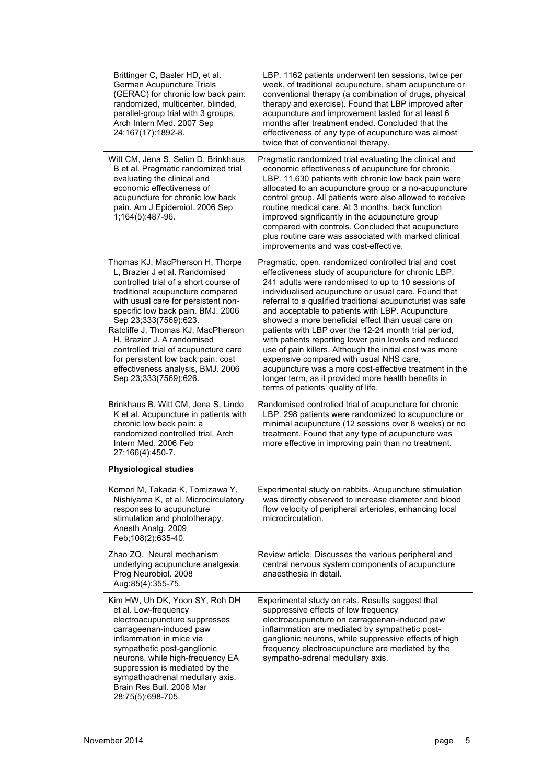| Brittinger C, Basler HD, et al.<br>German Acupuncture Trials<br>(GERAC) for chronic low back pain:<br>randomized, multicenter, blinded,<br>parallel-group trial with 3 groups.<br>Arch Intern Med. 2007 Sep<br>24;167(17):1892-8.                                                                                                                                                                                                                                   | LBP. 1162 patients underwent ten sessions, twice per<br>week, of traditional acupuncture, sham acupuncture or<br>conventional therapy (a combination of drugs, physical<br>therapy and exercise). Found that LBP improved after<br>acupuncture and improvement lasted for at least 6<br>months after treatment ended. Concluded that the<br>effectiveness of any type of acupuncture was almost<br>twice that of conventional therapy.                                                                                                                                                                                                                                                                                                                                            |
|---------------------------------------------------------------------------------------------------------------------------------------------------------------------------------------------------------------------------------------------------------------------------------------------------------------------------------------------------------------------------------------------------------------------------------------------------------------------|-----------------------------------------------------------------------------------------------------------------------------------------------------------------------------------------------------------------------------------------------------------------------------------------------------------------------------------------------------------------------------------------------------------------------------------------------------------------------------------------------------------------------------------------------------------------------------------------------------------------------------------------------------------------------------------------------------------------------------------------------------------------------------------|
| Witt CM, Jena S, Selim D, Brinkhaus<br>B et al. Pragmatic randomized trial<br>evaluating the clinical and<br>economic effectiveness of<br>acupuncture for chronic low back<br>pain. Am J Epidemiol. 2006 Sep<br>1;164(5):487-96.                                                                                                                                                                                                                                    | Pragmatic randomized trial evaluating the clinical and<br>economic effectiveness of acupuncture for chronic<br>LBP. 11,630 patients with chronic low back pain were<br>allocated to an acupuncture group or a no-acupuncture<br>control group. All patients were also allowed to receive<br>routine medical care. At 3 months, back function<br>improved significantly in the acupuncture group<br>compared with controls. Concluded that acupuncture<br>plus routine care was associated with marked clinical<br>improvements and was cost-effective.                                                                                                                                                                                                                            |
| Thomas KJ, MacPherson H, Thorpe<br>L, Brazier J et al. Randomised<br>controlled trial of a short course of<br>traditional acupuncture compared<br>with usual care for persistent non-<br>specific low back pain. BMJ. 2006<br>Sep 23;333(7569):623.<br>Ratcliffe J, Thomas KJ, MacPherson<br>H, Brazier J. A randomised<br>controlled trial of acupuncture care<br>for persistent low back pain: cost<br>effectiveness analysis, BMJ. 2006<br>Sep 23;333(7569):626. | Pragmatic, open, randomized controlled trial and cost<br>effectiveness study of acupuncture for chronic LBP.<br>241 adults were randomised to up to 10 sessions of<br>individualised acupuncture or usual care. Found that<br>referral to a qualified traditional acupuncturist was safe<br>and acceptable to patients with LBP. Acupuncture<br>showed a more beneficial effect than usual care on<br>patients with LBP over the 12-24 month trial period,<br>with patients reporting lower pain levels and reduced<br>use of pain killers. Although the initial cost was more<br>expensive compared with usual NHS care,<br>acupuncture was a more cost-effective treatment in the<br>longer term, as it provided more health benefits in<br>terms of patients' quality of life. |
| Brinkhaus B, Witt CM, Jena S, Linde<br>K et al. Acupuncture in patients with<br>chronic low back pain: a<br>randomized controlled trial. Arch<br>Intern Med. 2006 Feb<br>27;166(4):450-7.                                                                                                                                                                                                                                                                           | Randomised controlled trial of acupuncture for chronic<br>LBP. 298 patients were randomized to acupuncture or<br>minimal acupuncture (12 sessions over 8 weeks) or no<br>treatment. Found that any type of acupuncture was<br>more effective in improving pain than no treatment.                                                                                                                                                                                                                                                                                                                                                                                                                                                                                                 |
| <b>Physiological studies</b>                                                                                                                                                                                                                                                                                                                                                                                                                                        |                                                                                                                                                                                                                                                                                                                                                                                                                                                                                                                                                                                                                                                                                                                                                                                   |
| Komori M, Takada K, Tomizawa Y,<br>Nishiyama K, et al. Microcirculatory<br>responses to acupuncture<br>stimulation and phototherapy.<br>Anesth Analg. 2009<br>Feb;108(2):635-40.                                                                                                                                                                                                                                                                                    | Experimental study on rabbits. Acupuncture stimulation<br>was directly observed to increase diameter and blood<br>flow velocity of peripheral arterioles, enhancing local<br>microcirculation.                                                                                                                                                                                                                                                                                                                                                                                                                                                                                                                                                                                    |
| Zhao ZQ. Neural mechanism<br>underlying acupuncture analgesia.<br>Prog Neurobiol. 2008<br>Aug;85(4):355-75.                                                                                                                                                                                                                                                                                                                                                         | Review article. Discusses the various peripheral and<br>central nervous system components of acupuncture<br>anaesthesia in detail.                                                                                                                                                                                                                                                                                                                                                                                                                                                                                                                                                                                                                                                |
| Kim HW, Uh DK, Yoon SY, Roh DH<br>et al. Low-frequency<br>electroacupuncture suppresses<br>carrageenan-induced paw<br>inflammation in mice via<br>sympathetic post-ganglionic<br>neurons, while high-frequency EA<br>suppression is mediated by the<br>sympathoadrenal medullary axis.<br>Brain Res Bull. 2008 Mar<br>28;75(5):698-705.                                                                                                                             | Experimental study on rats. Results suggest that<br>suppressive effects of low frequency<br>electroacupuncture on carrageenan-induced paw<br>inflammation are mediated by sympathetic post-<br>ganglionic neurons, while suppressive effects of high<br>frequency electroacupuncture are mediated by the<br>sympatho-adrenal medullary axis.                                                                                                                                                                                                                                                                                                                                                                                                                                      |